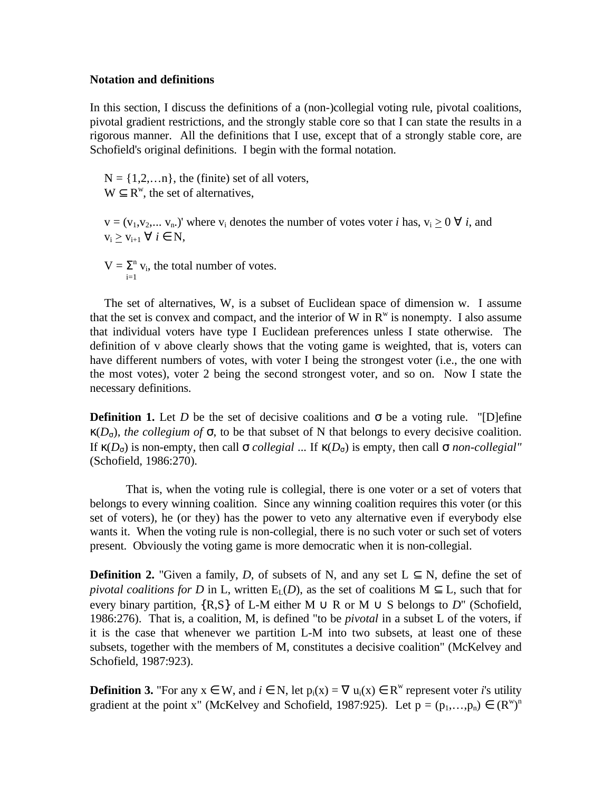## **Notation and definitions**

In this section, I discuss the definitions of a (non-)collegial voting rule, pivotal coalitions, pivotal gradient restrictions, and the strongly stable core so that I can state the results in a rigorous manner. All the definitions that I use, except that of a strongly stable core, are Schofield's original definitions. I begin with the formal notation.

 $N = \{1, 2, \ldots n\}$ , the (finite) set of all voters,  $W \subseteq R^w$ , the set of alternatives,

 $v = (v_1, v_2,..., v_n)$ ' where  $v_i$  denotes the number of votes voter *i* has,  $v_i \geq 0 \ \forall i$ , and  $v_i > v_{i+1} \ \forall \ i \in \mathbb{N},$ 

 $V = \Sigma^{n} v_i$ , the total number of votes.  $i=1$ 

The set of alternatives, W, is a subset of Euclidean space of dimension w. I assume that the set is convex and compact, and the interior of W in  $R^w$  is nonempty. I also assume that individual voters have type I Euclidean preferences unless I state otherwise. The definition of v above clearly shows that the voting game is weighted, that is, voters can have different numbers of votes, with voter I being the strongest voter (i.e., the one with the most votes), voter 2 being the second strongest voter, and so on. Now I state the necessary definitions.

**Definition 1.** Let *D* be the set of decisive coalitions and  $\sigma$  be a voting rule. "[D]efine  $\kappa(D<sub>σ</sub>)$ , *the collegium of*  $\sigma$ , to be that subset of N that belongs to every decisive coalition. If  $\kappa(D_σ)$  is non-empty, then call  $\sigma$  *collegial* ... If  $\kappa(D_σ)$  is empty, then call  $\sigma$  *non-collegial*" (Schofield, 1986:270).

That is, when the voting rule is collegial, there is one voter or a set of voters that belongs to every winning coalition. Since any winning coalition requires this voter (or this set of voters), he (or they) has the power to veto any alternative even if everybody else wants it. When the voting rule is non-collegial, there is no such voter or such set of voters present. Obviously the voting game is more democratic when it is non-collegial.

**Definition 2.** "Given a family, *D*, of subsets of N, and any set  $L \subseteq N$ , define the set of *pivotal coalitions for D* in L, written  $E<sub>L</sub>(D)$ , as the set of coalitions M  $\subseteq$  L, such that for every binary partition,  $\{R,S\}$  of L-M either M  $\cup$  R or M  $\cup$  S belongs to D" (Schofield, 1986:276). That is, a coalition, M, is defined "to be *pivotal* in a subset L of the voters, if it is the case that whenever we partition L-M into two subsets, at least one of these subsets, together with the members of M, constitutes a decisive coalition" (McKelvey and Schofield, 1987:923).

**Definition 3.** "For any  $x \in W$ , and  $i \in N$ , let  $p_i(x) = \nabla u_i(x) \in R^w$  represent voter *i*'s utility gradient at the point x" (McKelvey and Schofield, 1987:925). Let  $p = (p_1, \ldots, p_n) \in (R^w)^n$